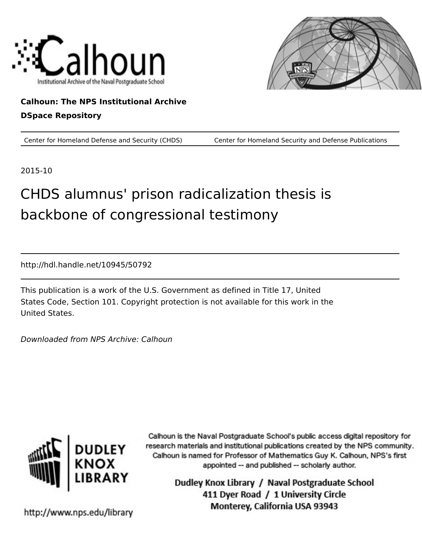



### **Calhoun: The NPS Institutional Archive DSpace Repository**

Center for Homeland Defense and Security (CHDS) Center for Homeland Security and Defense Publications

2015-10

# CHDS alumnus' prison radicalization thesis is backbone of congressional testimony

http://hdl.handle.net/10945/50792

This publication is a work of the U.S. Government as defined in Title 17, United States Code, Section 101. Copyright protection is not available for this work in the United States.

Downloaded from NPS Archive: Calhoun



Calhoun is the Naval Postgraduate School's public access digital repository for research materials and institutional publications created by the NPS community. Calhoun is named for Professor of Mathematics Guy K. Calhoun, NPS's first appointed -- and published -- scholarly author.

> Dudley Knox Library / Naval Postgraduate School 411 Dyer Road / 1 University Circle Monterey, California USA 93943

http://www.nps.edu/library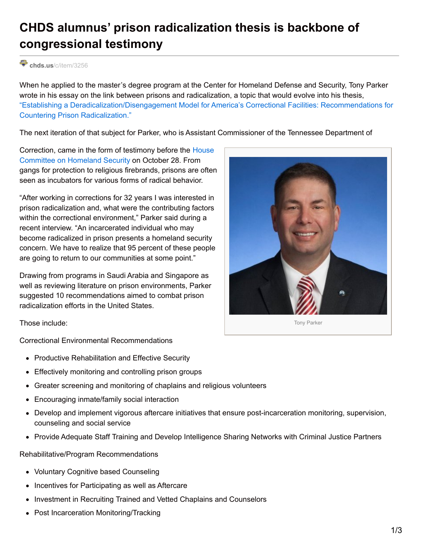## **CHDS alumnus' prison radicalization thesis is backbone of congressional testimony**

#### chds.us[/c/item/3256](https://www.chds.us/c/item/3256)

When he applied to the master's degree program at the Center for Homeland Defense and Security, Tony Parker wrote in his essay on the link between prisons and radicalization, a topic that would evolve into his thesis, "Establishing a [Deradicalization/Disengagement](https://www.hsdl.org/?abstract&did=736334) Model for America's Correctional Facilities: Recommendations for Countering Prison Radicalization."

The next iteration of that subject for Parker, who is Assistant Commissioner of the Tennessee Department of

[Correction,](https://homeland.house.gov/) came in the form of testimony before the House Committee on Homeland Security on October 28. From gangs for protection to religious firebrands, prisons are often seen as incubators for various forms of radical behavior.

"After working in corrections for 32 years I was interested in prison radicalization and, what were the contributing factors within the correctional environment," Parker said during a recent interview. "An incarcerated individual who may become radicalized in prison presents a homeland security concern. We have to realize that 95 percent of these people are going to return to our communities at some point."

Drawing from programs in Saudi Arabia and Singapore as well as reviewing literature on prison environments, Parker suggested 10 recommendations aimed to combat prison radicalization efforts in the United States.



Those include:

Correctional Environmental Recommendations

- Productive Rehabilitation and Effective Security
- Effectively monitoring and controlling prison groups
- Greater screening and monitoring of chaplains and religious volunteers
- Encouraging inmate/family social interaction
- Develop and implement vigorous aftercare initiatives that ensure post-incarceration monitoring, supervision, counseling and social service
- Provide Adequate Staff Training and Develop Intelligence Sharing Networks with Criminal Justice Partners

Rehabilitative/Program Recommendations

- Voluntary Cognitive based Counseling
- Incentives for Participating as well as Aftercare
- Investment in Recruiting Trained and Vetted Chaplains and Counselors
- Post Incarceration Monitoring/Tracking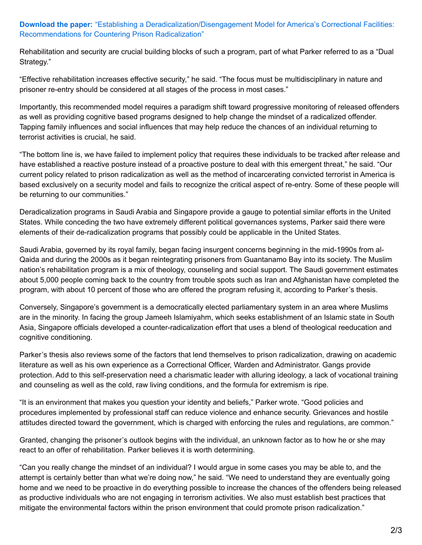### **Download the paper:** "Establishing a [Deradicalization/Disengagement](https://www.hsdl.org/?abstract&did=736334) Model for America's Correctional Facilities: Recommendations for Countering Prison Radicalization"

Rehabilitation and security are crucial building blocks of such a program, part of what Parker referred to as a "Dual Strategy."

"Effective rehabilitation increases effective security," he said. "The focus must be multidisciplinary in nature and prisoner re-entry should be considered at all stages of the process in most cases."

Importantly, this recommended model requires a paradigm shift toward progressive monitoring of released offenders as well as providing cognitive based programs designed to help change the mindset of a radicalized offender. Tapping family influences and social influences that may help reduce the chances of an individual returning to terrorist activities is crucial, he said.

"The bottom line is, we have failed to implement policy that requires these individuals to be tracked after release and have established a reactive posture instead of a proactive posture to deal with this emergent threat," he said. "Our current policy related to prison radicalization as well as the method of incarcerating convicted terrorist in America is based exclusively on a security model and fails to recognize the critical aspect of re-entry. Some of these people will be returning to our communities."

Deradicalization programs in Saudi Arabia and Singapore provide a gauge to potential similar efforts in the United States. While conceding the two have extremely different political governances systems, Parker said there were elements of their de-radicalization programs that possibly could be applicable in the United States.

Saudi Arabia, governed by its royal family, began facing insurgent concerns beginning in the mid-1990s from al-Qaida and during the 2000s as it began reintegrating prisoners from Guantanamo Bay into its society. The Muslim nation's rehabilitation program is a mix of theology, counseling and social support. The Saudi government estimates about 5,000 people coming back to the country from trouble spots such as Iran and Afghanistan have completed the program, with about 10 percent of those who are offered the program refusing it, according to Parker's thesis.

Conversely, Singapore's government is a democratically elected parliamentary system in an area where Muslims are in the minority. In facing the group Jameeh Islamiyahm, which seeks establishment of an Islamic state in South Asia, Singapore officials developed a counter-radicalization effort that uses a blend of theological reeducation and cognitive conditioning.

Parker's thesis also reviews some of the factors that lend themselves to prison radicalization, drawing on academic literature as well as his own experience as a Correctional Officer, Warden and Administrator. Gangs provide protection. Add to this self-preservation need a charismatic leader with alluring ideology, a lack of vocational training and counseling as well as the cold, raw living conditions, and the formula for extremism is ripe.

"It is an environment that makes you question your identity and beliefs," Parker wrote. "Good policies and procedures implemented by professional staff can reduce violence and enhance security. Grievances and hostile attitudes directed toward the government, which is charged with enforcing the rules and regulations, are common."

Granted, changing the prisoner's outlook begins with the individual, an unknown factor as to how he or she may react to an offer of rehabilitation. Parker believes it is worth determining.

"Can you really change the mindset of an individual? I would argue in some cases you may be able to, and the attempt is certainly better than what we're doing now," he said. "We need to understand they are eventually going home and we need to be proactive in do everything possible to increase the chances of the offenders being released as productive individuals who are not engaging in terrorism activities. We also must establish best practices that mitigate the environmental factors within the prison environment that could promote prison radicalization."